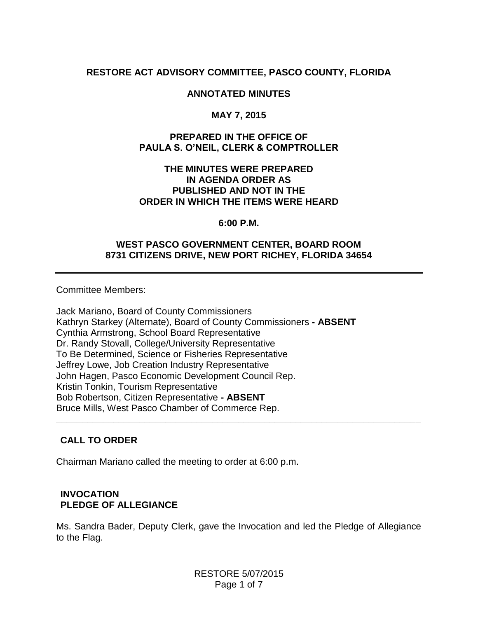## **RESTORE ACT ADVISORY COMMITTEE, PASCO COUNTY, FLORIDA**

### **ANNOTATED MINUTES**

### **MAY 7, 2015**

### **PREPARED IN THE OFFICE OF PAULA S. O'NEIL, CLERK & COMPTROLLER**

### **THE MINUTES WERE PREPARED IN AGENDA ORDER AS PUBLISHED AND NOT IN THE ORDER IN WHICH THE ITEMS WERE HEARD**

#### **6:00 P.M.**

### **WEST PASCO GOVERNMENT CENTER, BOARD ROOM 8731 CITIZENS DRIVE, NEW PORT RICHEY, FLORIDA 34654**

Committee Members:

Jack Mariano, Board of County Commissioners Kathryn Starkey (Alternate), Board of County Commissioners **- ABSENT** Cynthia Armstrong, School Board Representative Dr. Randy Stovall, College/University Representative To Be Determined, Science or Fisheries Representative Jeffrey Lowe, Job Creation Industry Representative John Hagen, Pasco Economic Development Council Rep. Kristin Tonkin, Tourism Representative Bob Robertson, Citizen Representative **- ABSENT** Bruce Mills, West Pasco Chamber of Commerce Rep.

### **CALL TO ORDER**

Chairman Mariano called the meeting to order at 6:00 p.m.

### **INVOCATION PLEDGE OF ALLEGIANCE**

Ms. Sandra Bader, Deputy Clerk, gave the Invocation and led the Pledge of Allegiance to the Flag.

**\_\_\_\_\_\_\_\_\_\_\_\_\_\_\_\_\_\_\_\_\_\_\_\_\_\_\_\_\_\_\_\_\_\_\_\_\_\_\_\_\_\_\_\_\_\_\_\_\_\_\_\_\_\_\_\_\_\_\_\_\_\_\_\_\_\_\_\_\_\_**

RESTORE 5/07/2015 Page 1 of 7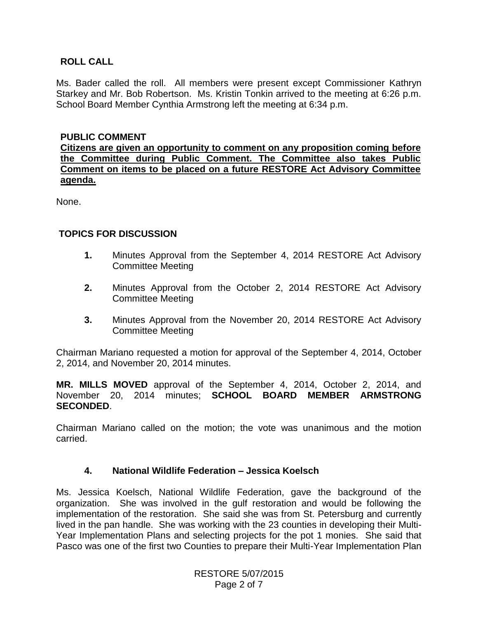### **ROLL CALL**

Ms. Bader called the roll. All members were present except Commissioner Kathryn Starkey and Mr. Bob Robertson. Ms. Kristin Tonkin arrived to the meeting at 6:26 p.m. School Board Member Cynthia Armstrong left the meeting at 6:34 p.m.

### **PUBLIC COMMENT**

**Citizens are given an opportunity to comment on any proposition coming before the Committee during Public Comment. The Committee also takes Public Comment on items to be placed on a future RESTORE Act Advisory Committee agenda.**

None.

### **TOPICS FOR DISCUSSION**

- **1.** Minutes Approval from the September 4, 2014 RESTORE Act Advisory Committee Meeting
- **2.** Minutes Approval from the October 2, 2014 RESTORE Act Advisory Committee Meeting
- **3.** Minutes Approval from the November 20, 2014 RESTORE Act Advisory Committee Meeting

Chairman Mariano requested a motion for approval of the September 4, 2014, October 2, 2014, and November 20, 2014 minutes.

**MR. MILLS MOVED** approval of the September 4, 2014, October 2, 2014, and November 20, 2014 minutes; **SCHOOL BOARD MEMBER ARMSTRONG SECONDED**.

Chairman Mariano called on the motion; the vote was unanimous and the motion carried.

### **4. National Wildlife Federation – Jessica Koelsch**

Ms. Jessica Koelsch, National Wildlife Federation, gave the background of the organization. She was involved in the gulf restoration and would be following the implementation of the restoration. She said she was from St. Petersburg and currently lived in the pan handle. She was working with the 23 counties in developing their Multi-Year Implementation Plans and selecting projects for the pot 1 monies. She said that Pasco was one of the first two Counties to prepare their Multi-Year Implementation Plan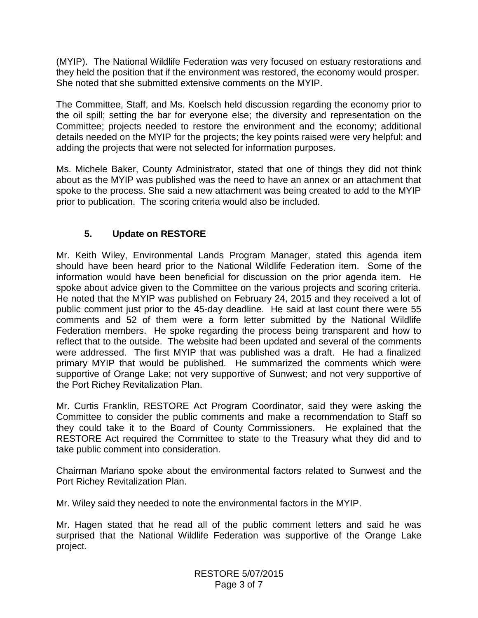(MYIP). The National Wildlife Federation was very focused on estuary restorations and they held the position that if the environment was restored, the economy would prosper. She noted that she submitted extensive comments on the MYIP.

The Committee, Staff, and Ms. Koelsch held discussion regarding the economy prior to the oil spill; setting the bar for everyone else; the diversity and representation on the Committee; projects needed to restore the environment and the economy; additional details needed on the MYIP for the projects; the key points raised were very helpful; and adding the projects that were not selected for information purposes.

Ms. Michele Baker, County Administrator, stated that one of things they did not think about as the MYIP was published was the need to have an annex or an attachment that spoke to the process. She said a new attachment was being created to add to the MYIP prior to publication. The scoring criteria would also be included.

# **5. Update on RESTORE**

Mr. Keith Wiley, Environmental Lands Program Manager, stated this agenda item should have been heard prior to the National Wildlife Federation item. Some of the information would have been beneficial for discussion on the prior agenda item. He spoke about advice given to the Committee on the various projects and scoring criteria. He noted that the MYIP was published on February 24, 2015 and they received a lot of public comment just prior to the 45-day deadline. He said at last count there were 55 comments and 52 of them were a form letter submitted by the National Wildlife Federation members. He spoke regarding the process being transparent and how to reflect that to the outside. The website had been updated and several of the comments were addressed. The first MYIP that was published was a draft. He had a finalized primary MYIP that would be published. He summarized the comments which were supportive of Orange Lake; not very supportive of Sunwest; and not very supportive of the Port Richey Revitalization Plan.

Mr. Curtis Franklin, RESTORE Act Program Coordinator, said they were asking the Committee to consider the public comments and make a recommendation to Staff so they could take it to the Board of County Commissioners. He explained that the RESTORE Act required the Committee to state to the Treasury what they did and to take public comment into consideration.

Chairman Mariano spoke about the environmental factors related to Sunwest and the Port Richey Revitalization Plan.

Mr. Wiley said they needed to note the environmental factors in the MYIP.

Mr. Hagen stated that he read all of the public comment letters and said he was surprised that the National Wildlife Federation was supportive of the Orange Lake project.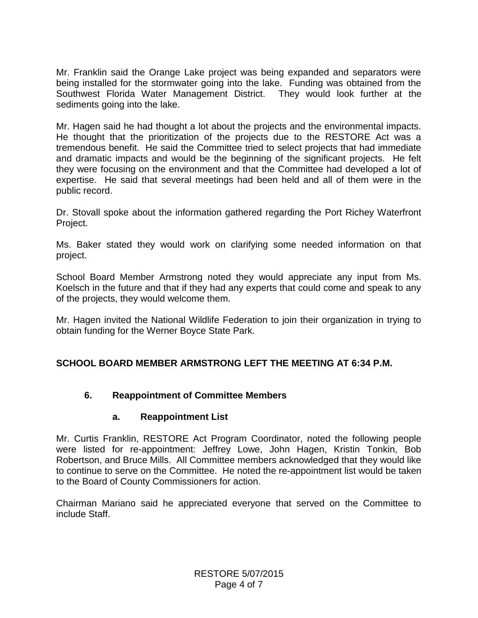Mr. Franklin said the Orange Lake project was being expanded and separators were being installed for the stormwater going into the lake. Funding was obtained from the Southwest Florida Water Management District. They would look further at the sediments going into the lake.

Mr. Hagen said he had thought a lot about the projects and the environmental impacts. He thought that the prioritization of the projects due to the RESTORE Act was a tremendous benefit. He said the Committee tried to select projects that had immediate and dramatic impacts and would be the beginning of the significant projects. He felt they were focusing on the environment and that the Committee had developed a lot of expertise. He said that several meetings had been held and all of them were in the public record.

Dr. Stovall spoke about the information gathered regarding the Port Richey Waterfront Project.

Ms. Baker stated they would work on clarifying some needed information on that project.

School Board Member Armstrong noted they would appreciate any input from Ms. Koelsch in the future and that if they had any experts that could come and speak to any of the projects, they would welcome them.

Mr. Hagen invited the National Wildlife Federation to join their organization in trying to obtain funding for the Werner Boyce State Park.

## **SCHOOL BOARD MEMBER ARMSTRONG LEFT THE MEETING AT 6:34 P.M.**

## **6. Reappointment of Committee Members**

## **a. Reappointment List**

Mr. Curtis Franklin, RESTORE Act Program Coordinator, noted the following people were listed for re-appointment: Jeffrey Lowe, John Hagen, Kristin Tonkin, Bob Robertson, and Bruce Mills. All Committee members acknowledged that they would like to continue to serve on the Committee. He noted the re-appointment list would be taken to the Board of County Commissioners for action.

Chairman Mariano said he appreciated everyone that served on the Committee to include Staff.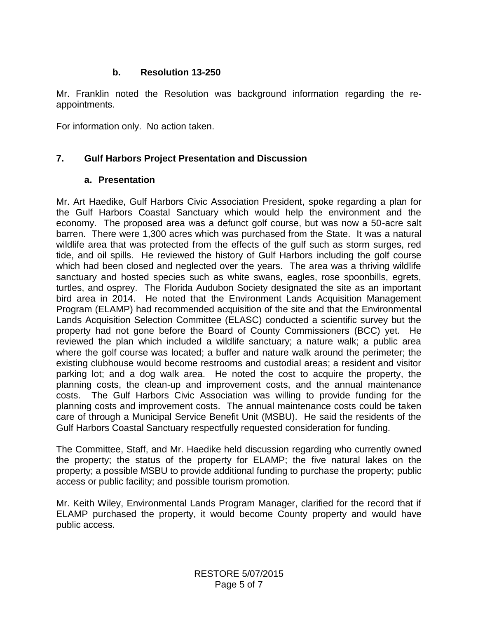# **b. Resolution 13-250**

Mr. Franklin noted the Resolution was background information regarding the reappointments.

For information only. No action taken.

## **7. Gulf Harbors Project Presentation and Discussion**

## **a. Presentation**

Mr. Art Haedike, Gulf Harbors Civic Association President, spoke regarding a plan for the Gulf Harbors Coastal Sanctuary which would help the environment and the economy. The proposed area was a defunct golf course, but was now a 50-acre salt barren. There were 1,300 acres which was purchased from the State. It was a natural wildlife area that was protected from the effects of the gulf such as storm surges, red tide, and oil spills. He reviewed the history of Gulf Harbors including the golf course which had been closed and neglected over the years. The area was a thriving wildlife sanctuary and hosted species such as white swans, eagles, rose spoonbills, egrets, turtles, and osprey. The Florida Audubon Society designated the site as an important bird area in 2014. He noted that the Environment Lands Acquisition Management Program (ELAMP) had recommended acquisition of the site and that the Environmental Lands Acquisition Selection Committee (ELASC) conducted a scientific survey but the property had not gone before the Board of County Commissioners (BCC) yet. He reviewed the plan which included a wildlife sanctuary; a nature walk; a public area where the golf course was located; a buffer and nature walk around the perimeter; the existing clubhouse would become restrooms and custodial areas; a resident and visitor parking lot; and a dog walk area. He noted the cost to acquire the property, the planning costs, the clean-up and improvement costs, and the annual maintenance costs. The Gulf Harbors Civic Association was willing to provide funding for the planning costs and improvement costs. The annual maintenance costs could be taken care of through a Municipal Service Benefit Unit (MSBU). He said the residents of the Gulf Harbors Coastal Sanctuary respectfully requested consideration for funding.

The Committee, Staff, and Mr. Haedike held discussion regarding who currently owned the property; the status of the property for ELAMP; the five natural lakes on the property; a possible MSBU to provide additional funding to purchase the property; public access or public facility; and possible tourism promotion.

Mr. Keith Wiley, Environmental Lands Program Manager, clarified for the record that if ELAMP purchased the property, it would become County property and would have public access.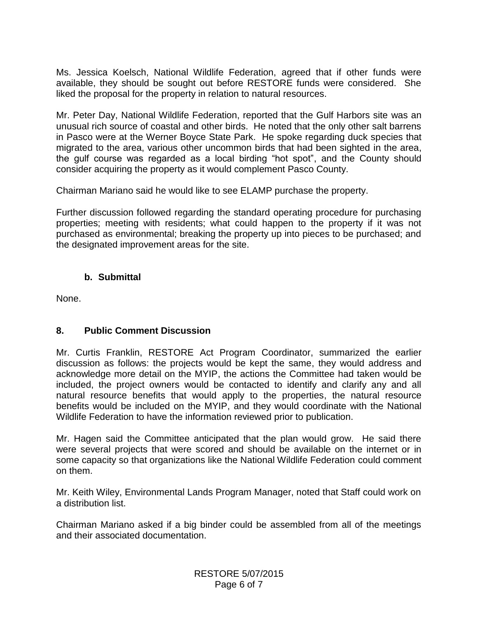Ms. Jessica Koelsch, National Wildlife Federation, agreed that if other funds were available, they should be sought out before RESTORE funds were considered. She liked the proposal for the property in relation to natural resources.

Mr. Peter Day, National Wildlife Federation, reported that the Gulf Harbors site was an unusual rich source of coastal and other birds. He noted that the only other salt barrens in Pasco were at the Werner Boyce State Park. He spoke regarding duck species that migrated to the area, various other uncommon birds that had been sighted in the area, the gulf course was regarded as a local birding "hot spot", and the County should consider acquiring the property as it would complement Pasco County.

Chairman Mariano said he would like to see ELAMP purchase the property.

Further discussion followed regarding the standard operating procedure for purchasing properties; meeting with residents; what could happen to the property if it was not purchased as environmental; breaking the property up into pieces to be purchased; and the designated improvement areas for the site.

## **b. Submittal**

None.

## **8. Public Comment Discussion**

Mr. Curtis Franklin, RESTORE Act Program Coordinator, summarized the earlier discussion as follows: the projects would be kept the same, they would address and acknowledge more detail on the MYIP, the actions the Committee had taken would be included, the project owners would be contacted to identify and clarify any and all natural resource benefits that would apply to the properties, the natural resource benefits would be included on the MYIP, and they would coordinate with the National Wildlife Federation to have the information reviewed prior to publication.

Mr. Hagen said the Committee anticipated that the plan would grow. He said there were several projects that were scored and should be available on the internet or in some capacity so that organizations like the National Wildlife Federation could comment on them.

Mr. Keith Wiley, Environmental Lands Program Manager, noted that Staff could work on a distribution list.

Chairman Mariano asked if a big binder could be assembled from all of the meetings and their associated documentation.